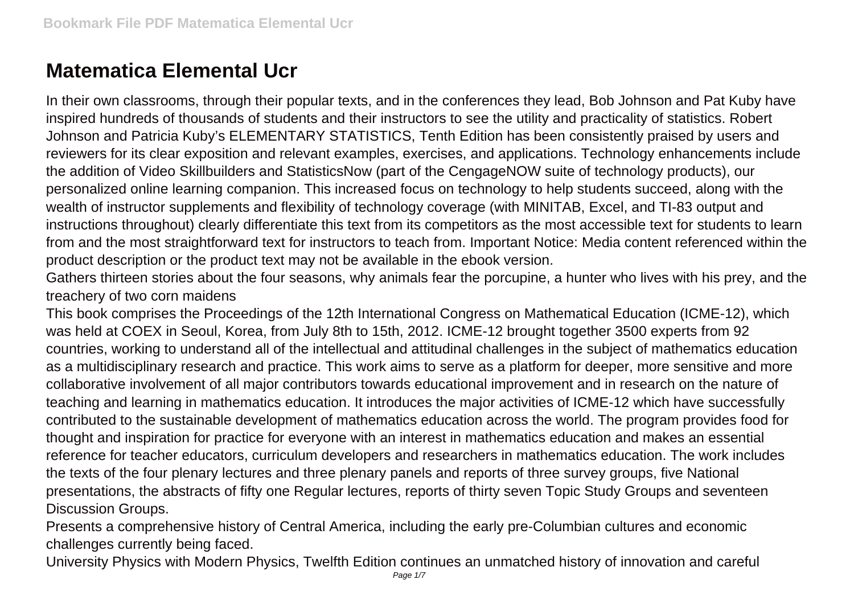## **Matematica Elemental Ucr**

In their own classrooms, through their popular texts, and in the conferences they lead, Bob Johnson and Pat Kuby have inspired hundreds of thousands of students and their instructors to see the utility and practicality of statistics. Robert Johnson and Patricia Kuby's ELEMENTARY STATISTICS, Tenth Edition has been consistently praised by users and reviewers for its clear exposition and relevant examples, exercises, and applications. Technology enhancements include the addition of Video Skillbuilders and StatisticsNow (part of the CengageNOW suite of technology products), our personalized online learning companion. This increased focus on technology to help students succeed, along with the wealth of instructor supplements and flexibility of technology coverage (with MINITAB, Excel, and TI-83 output and instructions throughout) clearly differentiate this text from its competitors as the most accessible text for students to learn from and the most straightforward text for instructors to teach from. Important Notice: Media content referenced within the product description or the product text may not be available in the ebook version.

Gathers thirteen stories about the four seasons, why animals fear the porcupine, a hunter who lives with his prey, and the treachery of two corn maidens

This book comprises the Proceedings of the 12th International Congress on Mathematical Education (ICME-12), which was held at COEX in Seoul, Korea, from July 8th to 15th, 2012. ICME-12 brought together 3500 experts from 92 countries, working to understand all of the intellectual and attitudinal challenges in the subject of mathematics education as a multidisciplinary research and practice. This work aims to serve as a platform for deeper, more sensitive and more collaborative involvement of all major contributors towards educational improvement and in research on the nature of teaching and learning in mathematics education. It introduces the major activities of ICME-12 which have successfully contributed to the sustainable development of mathematics education across the world. The program provides food for thought and inspiration for practice for everyone with an interest in mathematics education and makes an essential reference for teacher educators, curriculum developers and researchers in mathematics education. The work includes the texts of the four plenary lectures and three plenary panels and reports of three survey groups, five National presentations, the abstracts of fifty one Regular lectures, reports of thirty seven Topic Study Groups and seventeen Discussion Groups.

Presents a comprehensive history of Central America, including the early pre-Columbian cultures and economic challenges currently being faced.

University Physics with Modern Physics, Twelfth Edition continues an unmatched history of innovation and careful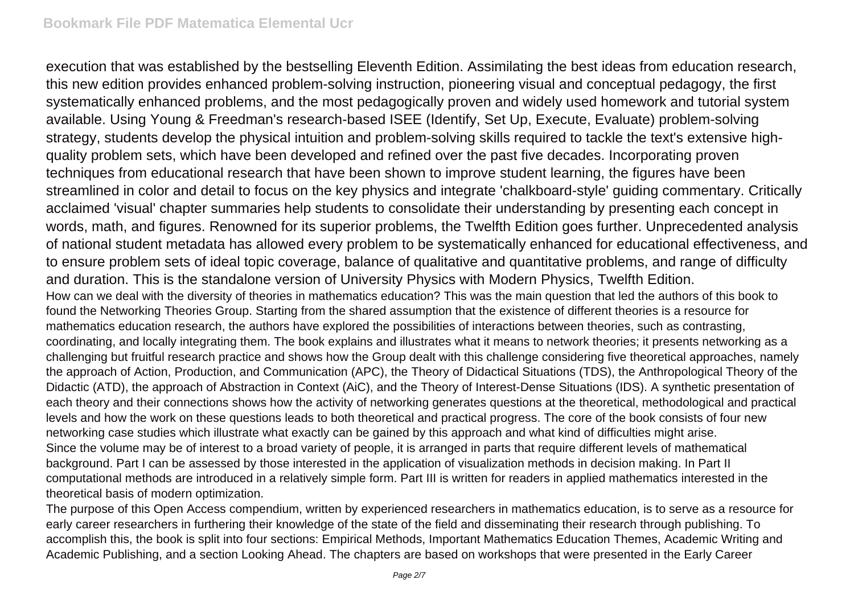execution that was established by the bestselling Eleventh Edition. Assimilating the best ideas from education research, this new edition provides enhanced problem-solving instruction, pioneering visual and conceptual pedagogy, the first systematically enhanced problems, and the most pedagogically proven and widely used homework and tutorial system available. Using Young & Freedman's research-based ISEE (Identify, Set Up, Execute, Evaluate) problem-solving strategy, students develop the physical intuition and problem-solving skills required to tackle the text's extensive highquality problem sets, which have been developed and refined over the past five decades. Incorporating proven techniques from educational research that have been shown to improve student learning, the figures have been streamlined in color and detail to focus on the key physics and integrate 'chalkboard-style' guiding commentary. Critically acclaimed 'visual' chapter summaries help students to consolidate their understanding by presenting each concept in words, math, and figures. Renowned for its superior problems, the Twelfth Edition goes further. Unprecedented analysis of national student metadata has allowed every problem to be systematically enhanced for educational effectiveness, and to ensure problem sets of ideal topic coverage, balance of qualitative and quantitative problems, and range of difficulty and duration. This is the standalone version of University Physics with Modern Physics, Twelfth Edition. How can we deal with the diversity of theories in mathematics education? This was the main question that led the authors of this book to found the Networking Theories Group. Starting from the shared assumption that the existence of different theories is a resource for mathematics education research, the authors have explored the possibilities of interactions between theories, such as contrasting, coordinating, and locally integrating them. The book explains and illustrates what it means to network theories; it presents networking as a challenging but fruitful research practice and shows how the Group dealt with this challenge considering five theoretical approaches, namely the approach of Action, Production, and Communication (APC), the Theory of Didactical Situations (TDS), the Anthropological Theory of the Didactic (ATD), the approach of Abstraction in Context (AiC), and the Theory of Interest-Dense Situations (IDS). A synthetic presentation of each theory and their connections shows how the activity of networking generates questions at the theoretical, methodological and practical levels and how the work on these questions leads to both theoretical and practical progress. The core of the book consists of four new networking case studies which illustrate what exactly can be gained by this approach and what kind of difficulties might arise. Since the volume may be of interest to a broad variety of people, it is arranged in parts that require different levels of mathematical background. Part I can be assessed by those interested in the application of visualization methods in decision making. In Part II computational methods are introduced in a relatively simple form. Part III is written for readers in applied mathematics interested in the theoretical basis of modern optimization.

The purpose of this Open Access compendium, written by experienced researchers in mathematics education, is to serve as a resource for early career researchers in furthering their knowledge of the state of the field and disseminating their research through publishing. To accomplish this, the book is split into four sections: Empirical Methods, Important Mathematics Education Themes, Academic Writing and Academic Publishing, and a section Looking Ahead. The chapters are based on workshops that were presented in the Early Career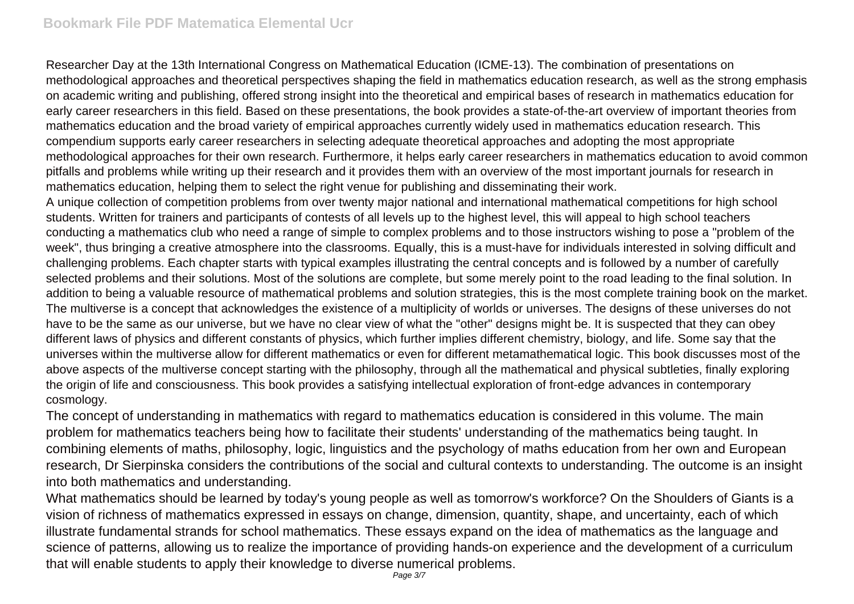## **Bookmark File PDF Matematica Elemental Ucr**

Researcher Day at the 13th International Congress on Mathematical Education (ICME-13). The combination of presentations on methodological approaches and theoretical perspectives shaping the field in mathematics education research, as well as the strong emphasis on academic writing and publishing, offered strong insight into the theoretical and empirical bases of research in mathematics education for early career researchers in this field. Based on these presentations, the book provides a state-of-the-art overview of important theories from mathematics education and the broad variety of empirical approaches currently widely used in mathematics education research. This compendium supports early career researchers in selecting adequate theoretical approaches and adopting the most appropriate methodological approaches for their own research. Furthermore, it helps early career researchers in mathematics education to avoid common pitfalls and problems while writing up their research and it provides them with an overview of the most important journals for research in mathematics education, helping them to select the right venue for publishing and disseminating their work.

A unique collection of competition problems from over twenty major national and international mathematical competitions for high school students. Written for trainers and participants of contests of all levels up to the highest level, this will appeal to high school teachers conducting a mathematics club who need a range of simple to complex problems and to those instructors wishing to pose a "problem of the week", thus bringing a creative atmosphere into the classrooms. Equally, this is a must-have for individuals interested in solving difficult and challenging problems. Each chapter starts with typical examples illustrating the central concepts and is followed by a number of carefully selected problems and their solutions. Most of the solutions are complete, but some merely point to the road leading to the final solution. In addition to being a valuable resource of mathematical problems and solution strategies, this is the most complete training book on the market. The multiverse is a concept that acknowledges the existence of a multiplicity of worlds or universes. The designs of these universes do not have to be the same as our universe, but we have no clear view of what the "other" designs might be. It is suspected that they can obey different laws of physics and different constants of physics, which further implies different chemistry, biology, and life. Some say that the universes within the multiverse allow for different mathematics or even for different metamathematical logic. This book discusses most of the above aspects of the multiverse concept starting with the philosophy, through all the mathematical and physical subtleties, finally exploring the origin of life and consciousness. This book provides a satisfying intellectual exploration of front-edge advances in contemporary cosmology.

The concept of understanding in mathematics with regard to mathematics education is considered in this volume. The main problem for mathematics teachers being how to facilitate their students' understanding of the mathematics being taught. In combining elements of maths, philosophy, logic, linguistics and the psychology of maths education from her own and European research, Dr Sierpinska considers the contributions of the social and cultural contexts to understanding. The outcome is an insight into both mathematics and understanding.

What mathematics should be learned by today's young people as well as tomorrow's workforce? On the Shoulders of Giants is a vision of richness of mathematics expressed in essays on change, dimension, quantity, shape, and uncertainty, each of which illustrate fundamental strands for school mathematics. These essays expand on the idea of mathematics as the language and science of patterns, allowing us to realize the importance of providing hands-on experience and the development of a curriculum that will enable students to apply their knowledge to diverse numerical problems.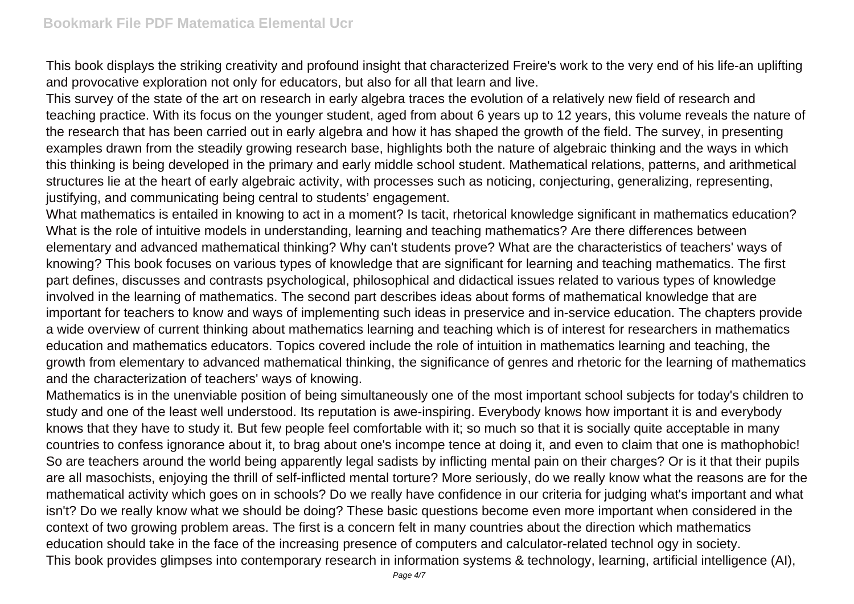This book displays the striking creativity and profound insight that characterized Freire's work to the very end of his life-an uplifting and provocative exploration not only for educators, but also for all that learn and live.

This survey of the state of the art on research in early algebra traces the evolution of a relatively new field of research and teaching practice. With its focus on the younger student, aged from about 6 years up to 12 years, this volume reveals the nature of the research that has been carried out in early algebra and how it has shaped the growth of the field. The survey, in presenting examples drawn from the steadily growing research base, highlights both the nature of algebraic thinking and the ways in which this thinking is being developed in the primary and early middle school student. Mathematical relations, patterns, and arithmetical structures lie at the heart of early algebraic activity, with processes such as noticing, conjecturing, generalizing, representing, justifying, and communicating being central to students' engagement.

What mathematics is entailed in knowing to act in a moment? Is tacit, rhetorical knowledge significant in mathematics education? What is the role of intuitive models in understanding, learning and teaching mathematics? Are there differences between elementary and advanced mathematical thinking? Why can't students prove? What are the characteristics of teachers' ways of knowing? This book focuses on various types of knowledge that are significant for learning and teaching mathematics. The first part defines, discusses and contrasts psychological, philosophical and didactical issues related to various types of knowledge involved in the learning of mathematics. The second part describes ideas about forms of mathematical knowledge that are important for teachers to know and ways of implementing such ideas in preservice and in-service education. The chapters provide a wide overview of current thinking about mathematics learning and teaching which is of interest for researchers in mathematics education and mathematics educators. Topics covered include the role of intuition in mathematics learning and teaching, the growth from elementary to advanced mathematical thinking, the significance of genres and rhetoric for the learning of mathematics and the characterization of teachers' ways of knowing.

Mathematics is in the unenviable position of being simultaneously one of the most important school subjects for today's children to study and one of the least well understood. Its reputation is awe-inspiring. Everybody knows how important it is and everybody knows that they have to study it. But few people feel comfortable with it; so much so that it is socially quite acceptable in many countries to confess ignorance about it, to brag about one's incompe tence at doing it, and even to claim that one is mathophobic! So are teachers around the world being apparently legal sadists by inflicting mental pain on their charges? Or is it that their pupils are all masochists, enjoying the thrill of self-inflicted mental torture? More seriously, do we really know what the reasons are for the mathematical activity which goes on in schools? Do we really have confidence in our criteria for judging what's important and what isn't? Do we really know what we should be doing? These basic questions become even more important when considered in the context of two growing problem areas. The first is a concern felt in many countries about the direction which mathematics education should take in the face of the increasing presence of computers and calculator-related technol ogy in society. This book provides glimpses into contemporary research in information systems & technology, learning, artificial intelligence (AI),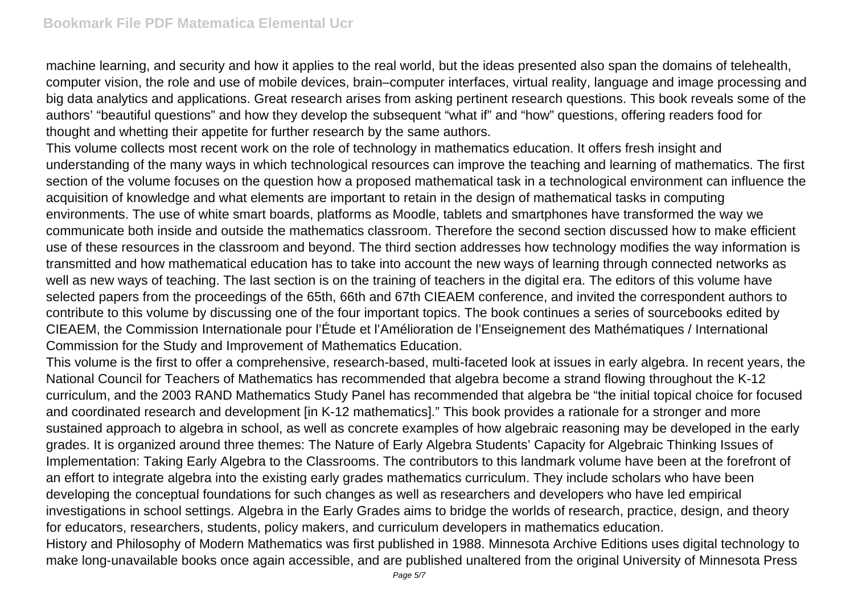machine learning, and security and how it applies to the real world, but the ideas presented also span the domains of telehealth, computer vision, the role and use of mobile devices, brain–computer interfaces, virtual reality, language and image processing and big data analytics and applications. Great research arises from asking pertinent research questions. This book reveals some of the authors' "beautiful questions" and how they develop the subsequent "what if" and "how" questions, offering readers food for thought and whetting their appetite for further research by the same authors.

This volume collects most recent work on the role of technology in mathematics education. It offers fresh insight and understanding of the many ways in which technological resources can improve the teaching and learning of mathematics. The first section of the volume focuses on the question how a proposed mathematical task in a technological environment can influence the acquisition of knowledge and what elements are important to retain in the design of mathematical tasks in computing environments. The use of white smart boards, platforms as Moodle, tablets and smartphones have transformed the way we communicate both inside and outside the mathematics classroom. Therefore the second section discussed how to make efficient use of these resources in the classroom and beyond. The third section addresses how technology modifies the way information is transmitted and how mathematical education has to take into account the new ways of learning through connected networks as well as new ways of teaching. The last section is on the training of teachers in the digital era. The editors of this volume have selected papers from the proceedings of the 65th, 66th and 67th CIEAEM conference, and invited the correspondent authors to contribute to this volume by discussing one of the four important topics. The book continues a series of sourcebooks edited by CIEAEM, the Commission Internationale pour l'Étude et l'Amélioration de l'Enseignement des Mathématiques / International Commission for the Study and Improvement of Mathematics Education.

This volume is the first to offer a comprehensive, research-based, multi-faceted look at issues in early algebra. In recent years, the National Council for Teachers of Mathematics has recommended that algebra become a strand flowing throughout the K-12 curriculum, and the 2003 RAND Mathematics Study Panel has recommended that algebra be "the initial topical choice for focused and coordinated research and development [in K-12 mathematics]." This book provides a rationale for a stronger and more sustained approach to algebra in school, as well as concrete examples of how algebraic reasoning may be developed in the early grades. It is organized around three themes: The Nature of Early Algebra Students' Capacity for Algebraic Thinking Issues of Implementation: Taking Early Algebra to the Classrooms. The contributors to this landmark volume have been at the forefront of an effort to integrate algebra into the existing early grades mathematics curriculum. They include scholars who have been developing the conceptual foundations for such changes as well as researchers and developers who have led empirical investigations in school settings. Algebra in the Early Grades aims to bridge the worlds of research, practice, design, and theory for educators, researchers, students, policy makers, and curriculum developers in mathematics education.

History and Philosophy of Modern Mathematics was first published in 1988. Minnesota Archive Editions uses digital technology to make long-unavailable books once again accessible, and are published unaltered from the original University of Minnesota Press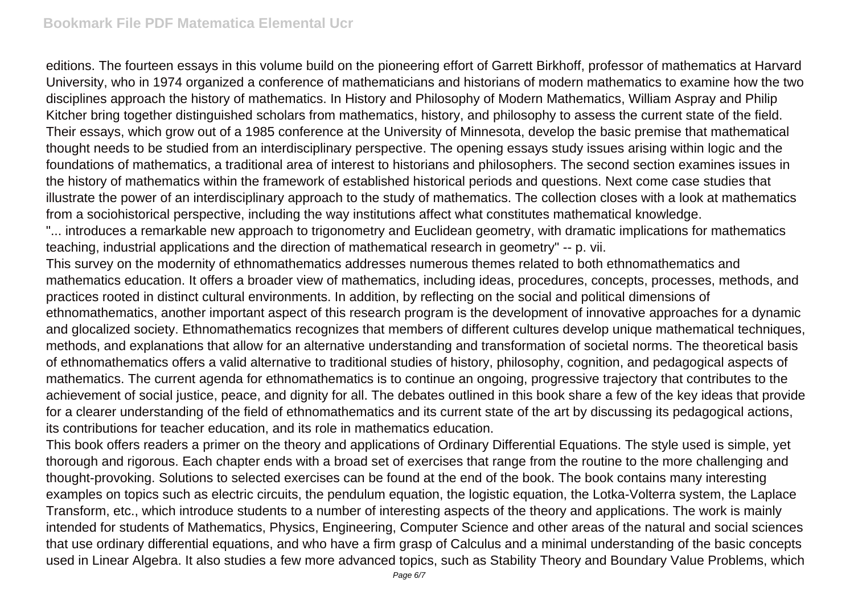editions. The fourteen essays in this volume build on the pioneering effort of Garrett Birkhoff, professor of mathematics at Harvard University, who in 1974 organized a conference of mathematicians and historians of modern mathematics to examine how the two disciplines approach the history of mathematics. In History and Philosophy of Modern Mathematics, William Aspray and Philip Kitcher bring together distinguished scholars from mathematics, history, and philosophy to assess the current state of the field. Their essays, which grow out of a 1985 conference at the University of Minnesota, develop the basic premise that mathematical thought needs to be studied from an interdisciplinary perspective. The opening essays study issues arising within logic and the foundations of mathematics, a traditional area of interest to historians and philosophers. The second section examines issues in the history of mathematics within the framework of established historical periods and questions. Next come case studies that illustrate the power of an interdisciplinary approach to the study of mathematics. The collection closes with a look at mathematics from a sociohistorical perspective, including the way institutions affect what constitutes mathematical knowledge.

"... introduces a remarkable new approach to trigonometry and Euclidean geometry, with dramatic implications for mathematics teaching, industrial applications and the direction of mathematical research in geometry" -- p. vii.

This survey on the modernity of ethnomathematics addresses numerous themes related to both ethnomathematics and mathematics education. It offers a broader view of mathematics, including ideas, procedures, concepts, processes, methods, and practices rooted in distinct cultural environments. In addition, by reflecting on the social and political dimensions of ethnomathematics, another important aspect of this research program is the development of innovative approaches for a dynamic and glocalized society. Ethnomathematics recognizes that members of different cultures develop unique mathematical techniques, methods, and explanations that allow for an alternative understanding and transformation of societal norms. The theoretical basis of ethnomathematics offers a valid alternative to traditional studies of history, philosophy, cognition, and pedagogical aspects of mathematics. The current agenda for ethnomathematics is to continue an ongoing, progressive trajectory that contributes to the achievement of social justice, peace, and dignity for all. The debates outlined in this book share a few of the key ideas that provide for a clearer understanding of the field of ethnomathematics and its current state of the art by discussing its pedagogical actions, its contributions for teacher education, and its role in mathematics education.

This book offers readers a primer on the theory and applications of Ordinary Differential Equations. The style used is simple, yet thorough and rigorous. Each chapter ends with a broad set of exercises that range from the routine to the more challenging and thought-provoking. Solutions to selected exercises can be found at the end of the book. The book contains many interesting examples on topics such as electric circuits, the pendulum equation, the logistic equation, the Lotka-Volterra system, the Laplace Transform, etc., which introduce students to a number of interesting aspects of the theory and applications. The work is mainly intended for students of Mathematics, Physics, Engineering, Computer Science and other areas of the natural and social sciences that use ordinary differential equations, and who have a firm grasp of Calculus and a minimal understanding of the basic concepts used in Linear Algebra. It also studies a few more advanced topics, such as Stability Theory and Boundary Value Problems, which